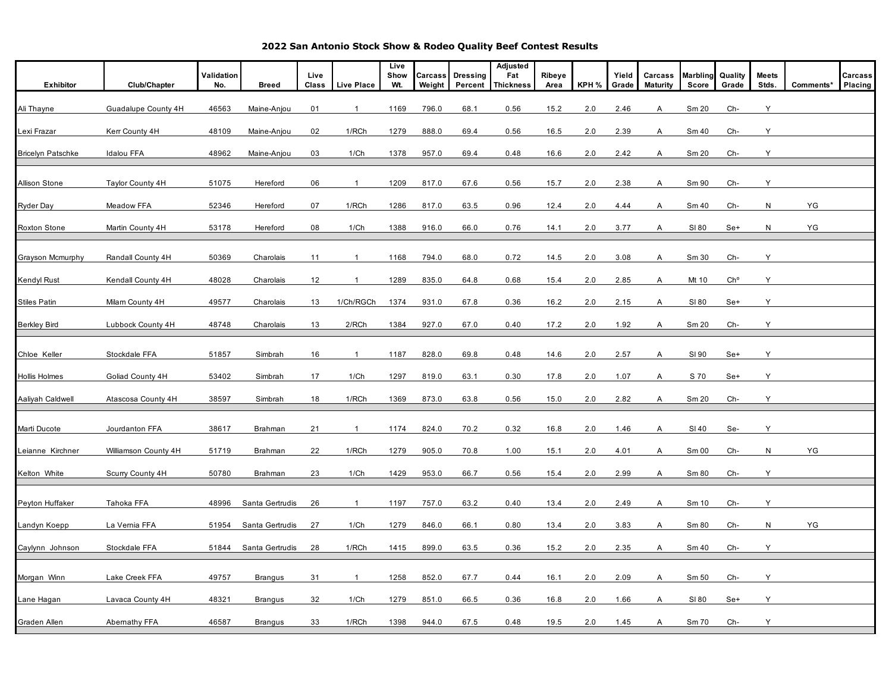**2022 San Antonio Stock Show & Rodeo Quality Beef Contest Results**

|                          |                         | Validation |                 | Live  |                         | Live<br>Show | Carcass | <b>Dressing</b> | Adjusted<br>Fat  | Ribeye |       | Yield | Carcass         | <b>Marbling</b> | Quality         | <b>Meets</b> |           | Carcass |
|--------------------------|-------------------------|------------|-----------------|-------|-------------------------|--------------|---------|-----------------|------------------|--------|-------|-------|-----------------|-----------------|-----------------|--------------|-----------|---------|
| Exhibitor                | Club/Chapter            | No.        | <b>Breed</b>    | Class | <b>Live Place</b>       | Wt.          | Weight  | Percent         | <b>Thickness</b> | Area   | KPH % | Grade | <b>Maturity</b> | Score           | Grade           | Stds.        | Comments* | Placing |
| Ali Thayne               | Guadalupe County 4H     | 46563      | Maine-Anjou     | 01    | -1                      | 1169         | 796.0   | 68.1            | 0.56             | 15.2   | 2.0   | 2.46  | Α               | Sm 20           | Ch-             | Y            |           |         |
| Lexi Frazar              | Kerr County 4H          | 48109      | Maine-Anjou     | 02    | 1/RCh                   | 1279         | 888.0   | 69.4            | 0.56             | 16.5   | 2.0   | 2.39  | Α               | Sm 40           | Ch-             | Υ            |           |         |
| <b>Bricelyn Patschke</b> | <b>Idalou FFA</b>       | 48962      | Maine-Anjou     | 03    | 1/Ch                    | 1378         | 957.0   | 69.4            | 0.48             | 16.6   | 2.0   | 2.42  | Α               | Sm 20           | Ch-             | Υ            |           |         |
| Allison Stone            | <b>Taylor County 4H</b> | 51075      | Hereford        | 06    | $\overline{1}$          | 1209         | 817.0   | 67.6            | 0.56             | 15.7   | 2.0   | 2.38  | Α               | Sm 90           | Ch-             | Υ            |           |         |
| <b>Ryder Day</b>         | Meadow FFA              | 52346      | Hereford        | 07    | 1/RCh                   | 1286         | 817.0   | 63.5            | 0.96             | 12.4   | 2.0   | 4.44  | Α               | Sm 40           | Ch-             | N            | YG        |         |
| <b>Roxton Stone</b>      | Martin County 4H        | 53178      | Hereford        | 80    | 1/Ch                    | 1388         | 916.0   | 66.0            | 0.76             | 14.1   | 2.0   | 3.77  | Α               | SI 80           | Se+             | N            | YG        |         |
| Grayson Mcmurphy         | Randall County 4H       | 50369      | Charolais       | 11    | $\mathbf{1}$            | 1168         | 794.0   | 68.0            | 0.72             | 14.5   | 2.0   | 3.08  | A               | Sm 30           | Ch-             | Y            |           |         |
| <b>Kendyl Rust</b>       | Kendall County 4H       | 48028      | Charolais       | 12    | $\mathbf{1}$            | 1289         | 835.0   | 64.8            | 0.68             | 15.4   | 2.0   | 2.85  | A               | Mt 10           | Ch <sup>o</sup> | Y            |           |         |
| <b>Stiles Patin</b>      | Milam County 4H         | 49577      | Charolais       | 13    | 1/Ch/RGCh               | 1374         | 931.0   | 67.8            | 0.36             | 16.2   | 2.0   | 2.15  | A               | SI 80           | Se+             | Υ            |           |         |
| <b>Berkley Bird</b>      | Lubbock County 4H       | 48748      | Charolais       | 13    | 2/RCh                   | 1384         | 927.0   | 67.0            | 0.40             | 17.2   | 2.0   | 1.92  | Α               | Sm 20           | Ch-             | Y            |           |         |
| Chloe Keller             | Stockdale FFA           | 51857      | Simbrah         | 16    | $\overline{\mathbf{1}}$ | 1187         | 828.0   | 69.8            | 0.48             | 14.6   | 2.0   | 2.57  | Α               | SI 90           | Se+             | Υ            |           |         |
| Hollis Holmes            | Goliad County 4H        | 53402      | Simbrah         | 17    | 1/Ch                    | 1297         | 819.0   | 63.1            | 0.30             | 17.8   | 2.0   | 1.07  | Α               | S 70            | Se+             | Υ            |           |         |
| Aaliyah Caldwell         | Atascosa County 4H      | 38597      | Simbrah         | 18    | 1/RCh                   | 1369         | 873.0   | 63.8            | 0.56             | 15.0   | 2.0   | 2.82  | A               | Sm 20           | Ch-             | Υ            |           |         |
| Marti Ducote             | Jourdanton FFA          | 38617      | Brahman         | 21    | $\mathbf{1}$            | 1174         | 824.0   | 70.2            | 0.32             | 16.8   | 2.0   | 1.46  | A               | SI 40           | Se-             | Y            |           |         |
| Leianne Kirchner         | Williamson County 4H    | 51719      | Brahman         | 22    | 1/RCh                   | 1279         | 905.0   | 70.8            | 1.00             | 15.1   | 2.0   | 4.01  | Α               | Sm 00           | Ch-             | N            | YG        |         |
| Kelton White             | Scurry County 4H        | 50780      | Brahman         | 23    | 1/Ch                    | 1429         | 953.0   | 66.7            | 0.56             | 15.4   | 2.0   | 2.99  | Α               | Sm 80           | Ch-             | Y            |           |         |
| Peyton Huffaker          | Tahoka FFA              | 48996      | Santa Gertrudis | 26    | $\mathbf{1}$            | 1197         | 757.0   | 63.2            | 0.40             | 13.4   | 2.0   | 2.49  | Α               | Sm 10           | Ch-             | Y            |           |         |
| Landyn Koepp             | La Vernia FFA           | 51954      | Santa Gertrudis | 27    | 1/Ch                    | 1279         | 846.0   | 66.1            | 0.80             | 13.4   | 2.0   | 3.83  | A               | Sm 80           | Ch-             | N            | YG        |         |
| Caylynn Johnson          | Stockdale FFA           | 51844      | Santa Gertrudis | 28    | 1/RCh                   | 1415         | 899.0   | 63.5            | 0.36             | 15.2   | 2.0   | 2.35  | Α               | Sm 40           | Ch-             | Υ            |           |         |
| Morgan Winn              | Lake Creek FFA          | 49757      | <b>Brangus</b>  | 31    | -1                      | 1258         | 852.0   | 67.7            | 0.44             | 16.1   | 2.0   | 2.09  | A               | Sm 50           | Ch-             | Y            |           |         |
| Lane Hagan               | Lavaca County 4H        | 48321      | <b>Brangus</b>  | 32    | 1/Ch                    | 1279         | 851.0   | 66.5            | 0.36             | 16.8   | 2.0   | 1.66  | A               | SI 80           | Se+             | Y            |           |         |
| Graden Allen             | Abernathy FFA           | 46587      | <b>Brangus</b>  | 33    | 1/RCh                   | 1398         | 944.0   | 67.5            | 0.48             | 19.5   | 2.0   | 1.45  | Α               | Sm 70           | Ch-             | Υ            |           |         |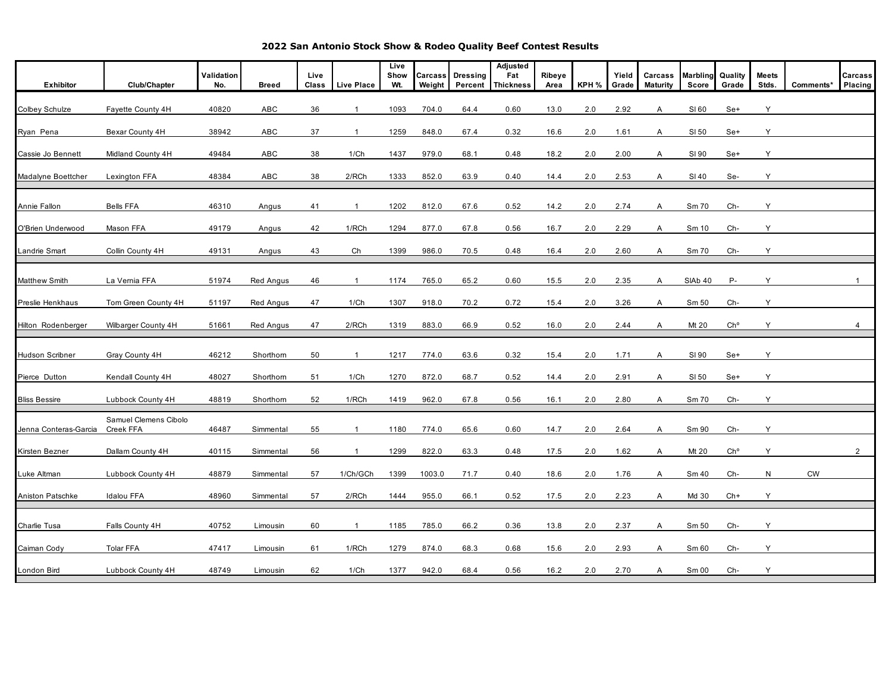**2022 San Antonio Stock Show & Rodeo Quality Beef Contest Results**

| Exhibitor             | Club/Chapter                       | Validation<br>No. | <b>Breed</b>     | Live<br>Class | <b>Live Place</b> | Live<br>Show<br>Wt. | <b>Carcass</b><br>Weight | <b>Dressing</b><br>Percent | Adjusted<br>Fat<br><b>Thickness</b> | Ribeye<br>Area | KPH % | Yield<br>Grade | Carcass<br><b>Maturity</b> | <b>Marbling</b><br>Score | Quality<br>Grade | <b>Meets</b><br>Stds. | Comments* | Carcass<br>Placing |
|-----------------------|------------------------------------|-------------------|------------------|---------------|-------------------|---------------------|--------------------------|----------------------------|-------------------------------------|----------------|-------|----------------|----------------------------|--------------------------|------------------|-----------------------|-----------|--------------------|
| Colbey Schulze        | Fayette County 4H                  | 40820             | ABC              | 36            | $\overline{1}$    | 1093                | 704.0                    | 64.4                       | 0.60                                | 13.0           | 2.0   | 2.92           | Α                          | SI 60                    | Se+              | Υ                     |           |                    |
| Ryan Pena             | Bexar County 4H                    | 38942             | ABC              | 37            | $\overline{1}$    | 1259                | 848.0                    | 67.4                       | 0.32                                | 16.6           | 2.0   | 1.61           | Α                          | SI 50                    | Se+              | Y                     |           |                    |
| Cassie Jo Bennett     | Midland County 4H                  | 49484             | <b>ABC</b>       | 38            | 1/Ch              | 1437                | 979.0                    | 68.1                       | 0.48                                | 18.2           | 2.0   | 2.00           | A                          | SI 90                    | Se+              | Y                     |           |                    |
| Madalyne Boettcher    | Lexington FFA                      | 48384             | ABC              | 38            | 2/RCh             | 1333                | 852.0                    | 63.9                       | 0.40                                | 14.4           | 2.0   | 2.53           | Α                          | SI 40                    | Se-              | Y                     |           |                    |
| Annie Fallon          | <b>Bells FFA</b>                   | 46310             | Angus            | 41            |                   | 1202                | 812.0                    | 67.6                       | 0.52                                | 14.2           | 2.0   | 2.74           | Α                          | Sm 70                    | Ch-              | Y                     |           |                    |
| O'Brien Underwood     | Mason FFA                          | 49179             | Angus            | 42            | 1/RCh             | 1294                | 877.0                    | 67.8                       | 0.56                                | 16.7           | 2.0   | 2.29           | A                          | Sm 10                    | Ch-              | Y                     |           |                    |
| Landrie Smart         | Collin County 4H                   | 49131             | Angus            | 43            | Ch                | 1399                | 986.0                    | 70.5                       | 0.48                                | 16.4           | 2.0   | 2.60           | Α                          | Sm 70                    | Ch-              | Υ                     |           |                    |
| Matthew Smith         | La Vernia FFA                      | 51974             | <b>Red Angus</b> | 46            | $\overline{1}$    | 1174                | 765.0                    | 65.2                       | 0.60                                | 15.5           | 2.0   | 2.35           | Α                          | SIAb 40                  | P-               | Y                     |           |                    |
| Preslie Henkhaus      | Tom Green County 4H                | 51197             | Red Angus        | 47            | 1/Ch              | 1307                | 918.0                    | 70.2                       | 0.72                                | 15.4           | 2.0   | 3.26           | Α                          | Sm 50                    | Ch-              | Y                     |           |                    |
| Hilton Rodenberger    | Wilbarger County 4H                | 51661             | Red Angus        | 47            | 2/RCh             | 1319                | 883.0                    | 66.9                       | 0.52                                | 16.0           | 2.0   | 2.44           | A                          | Mt 20                    | Ch <sup>o</sup>  | Y                     |           | 4                  |
| Hudson Scribner       | Gray County 4H                     | 46212             | Shorthorn        | 50            | $\overline{1}$    | 1217                | 774.0                    | 63.6                       | 0.32                                | 15.4           | 2.0   | 1.71           | A                          | SI 90                    | Se+              | Y                     |           |                    |
| Pierce Dutton         | Kendall County 4H                  | 48027             | Shorthorn        | 51            | 1/Ch              | 1270                | 872.0                    | 68.7                       | 0.52                                | 14.4           | 2.0   | 2.91           | A                          | SI 50                    | Se+              | Υ                     |           |                    |
| <b>Bliss Bessire</b>  | Lubbock County 4H                  | 48819             | Shorthorn        | 52            | 1/RCh             | 1419                | 962.0                    | 67.8                       | 0.56                                | 16.1           | 2.0   | 2.80           | Α                          | Sm 70                    | Ch-              | Y                     |           |                    |
| Jenna Conteras-Garcia | Samuel Clemens Cibolo<br>Creek FFA | 46487             | Simmental        | 55            |                   | 1180                | 774.0                    | 65.6                       | 0.60                                | 14.7           | 2.0   | 2.64           | Α                          | Sm 90                    | Ch-              | Y                     |           |                    |
| Kirsten Bezner        | Dallam County 4H                   | 40115             | Simmental        | 56            | $\overline{1}$    | 1299                | 822.0                    | 63.3                       | 0.48                                | 17.5           | 2.0   | 1.62           | Α                          | Mt 20                    | Ch <sup>o</sup>  | Y                     |           | $\overline{2}$     |
| Luke Altman           | Lubbock County 4H                  | 48879             | Simmental        | 57            | 1/Ch/GCh          | 1399                | 1003.0                   | 71.7                       | 0.40                                | 18.6           | 2.0   | 1.76           | Α                          | Sm 40                    | Ch-              | N                     | CW        |                    |
| Aniston Patschke      | Idalou FFA                         | 48960             | Simmental        | 57            | 2/RCh             | 1444                | 955.0                    | 66.1                       | 0.52                                | 17.5           | 2.0   | 2.23           | A                          | Md 30                    | $Ch+$            | Y                     |           |                    |
| Charlie Tusa          | Falls County 4H                    | 40752             | Limousin         | 60            | $\overline{1}$    | 1185                | 785.0                    | 66.2                       | 0.36                                | 13.8           | 2.0   | 2.37           | Α                          | Sm 50                    | Ch-              | Y                     |           |                    |
| Caiman Cody           | <b>Tolar FFA</b>                   | 47417             | Limousin         | 61            | 1/RCh             | 1279                | 874.0                    | 68.3                       | 0.68                                | 15.6           | 2.0   | 2.93           | A                          | Sm 60                    | Ch-              | Y                     |           |                    |
| London Bird           | Lubbock County 4H                  | 48749             | Limousin         | 62            | 1/Ch              | 1377                | 942.0                    | 68.4                       | 0.56                                | 16.2           | 2.0   | 2.70           | A                          | Sm 00                    | Ch-              | Y                     |           |                    |